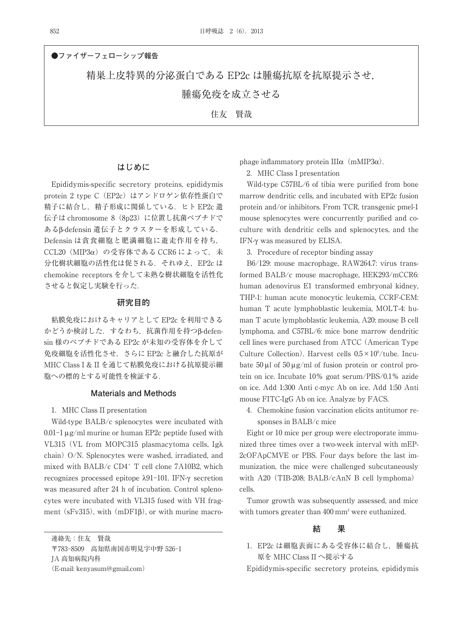住友 賢哉

**●ファイザーフェローシップ報告** 精巣上皮特異的分泌蛋白である EP2c は腫瘍抗原を抗原提示させ, 腫瘍免疫を成立させる

## **はじめに**

Epididymis-specific secretory proteins, epididymis protein 2 type C (EP2c) はアンドロゲン依存性蛋白で 精子に結合し,精子形成に関係している.ヒト EP2c 遺 伝子は chromosome 8 (8p23) に位置し抗菌ペプチドで あるβ-defensin 遺伝子とクラスターを形成している. Defensin は貪食細胞と肥満細胞に遊走作用を持ち, CCL20 (MIP3α) の受容体である CCR6 によって, 未 分化樹状細胞の活性化は促される. それゆえ, EP2c は chemokine receptors を介して未熟な樹状細胞を活性化 させると仮定し実験を行った.

# **研究目的**

粘膜免疫におけるキャリアとして EP2c を利用できる かどうか検討した. すなわち, 抗菌作用を持つβ-defensin 様のペプチドである EP2c が未知の受容体を介して 免疫細胞を活性化させ,さらに EP2c と融合した抗原が MHC Class I & II を通じて粘膜免疫における抗原提示細 胞への標的とする可能性を検証する.

## **Materials and Methods**

### 1.MHC Class II presentation

Wild-type BALB/c splenocytes were incubated with  $0.01-1 \mu$ g/ml murine or human EP2c peptide fused with VL315(VL from MOPC315 plasmacytoma cells, Igλ chain)  $O/N$ . Splenocytes were washed, irradiated, and mixed with BALB/c  $CD4^+$  T cell clone 7A10B2, which recognizes processed epitope λ91-101. IFN-γ secretion was measured after 24 h of incubation. Control splenocytes were incubated with VL315 fused with VH fragment (sFv315), with (mDF1 $\beta$ ), or with murine macro-

連絡先:住友 賢哉 〒783-8509 高知県南国市明見字中野 526-1 JA 高知病院内科 (E-mail: kenyasum@gmail.com)

phage inflammatory protein III $\alpha$  (mMIP3 $\alpha$ ).

2.MHC Class I presentation

Wild-type C57BL/6 of tibia were purified from bone marrow dendritic cells, and incubated with EP2c fusion protein and/or inhibitors. From TCR, transgenic pmel-1 mouse splenocytes were concurrently purified and coculture with dendritic cells and splenocytes, and the IFN-γ was measured by ELISA.

3. Procedure of receptor binding assay

B6/129: mouse macrophage, RAW264.7: virus transformed BALB/c mouse macrophage, HEK293/mCCR6: human adenovirus E1 transformed embryonal kidney, THP-1: human acute monocytic leukemia, CCRF-CEM: human T acute lymphoblastic leukemia, MOLT-4: human T acute lymphoblastic leukemia, A20: mouse B cell lymphoma, and C57BL/6: mice bone marrow dendritic cell lines were purchased from ATCC(American Type Culture Collection). Harvest cells  $0.5 \times 10^6$ /tube. Incubate  $50 \mu$ l of  $50 \mu$ g/ml of fusion protein or control protein on ice. Incubate 10% goat serum/PBS/0.1% azide on ice. Add 1:300 Anti c-myc Ab on ice. Add 1:50 Anti mouse FITC-IgG Ab on ice. Analyze by FACS.

4.Chemokine fusion vaccination elicits antitumor responses in BALB/c mice

Eight or 10 mice per group were electroporate immunized three times over a two-week interval with mEP-2cOFApCMVE or PBS. Four days before the last immunization, the mice were challenged subcutaneously with A20 (TIB-208; BALB/cAnN B cell lymphoma) cells.

Tumor growth was subsequently assessed, and mice with tumors greater than 400 mm<sup>2</sup> were euthanized.

# **結 果**

1.EP2c は細胞表面にある受容体に結合し,腫瘍抗 原を MHC Class II へ提示する

Epididymis-specific secretory proteins, epididymis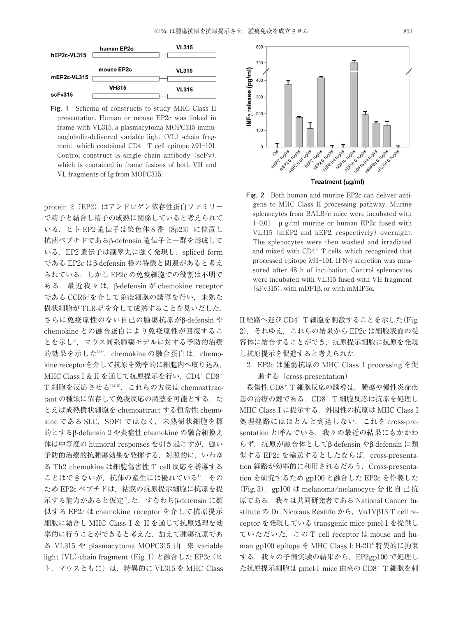

**Fig. 1** Schema of constructs to study MHC Class II presentation. Human or mouse EP2c was linked in frame with VL315, a plasmacytoma MOPC315 immunoglobulin-delivered variable light (VL) -chain fragment, which contained  $CD4^+$  T cell epitope  $\lambda$ 91-101. Control construct is single chain antibody (scFv), which is contained in frame fusions of both VH and VL fragments of Ig from MOPC315.

protein 2 (EP2) はアンドロゲン依存性蛋白ファミリー で精子と結合し精子の成熟に関係していると考えられて いる. ヒト EP2 遺伝子は染色体 8 番 (8p23) に位置し 抗菌ペプチドであるβ-defensin 遺伝子と一群を形成して いる. EP2 遺伝子は副睾丸に強く発現し, spliced form である EP2c はβ-defensin 様の特徴と関連があると考え られている. しかし EP2c の免疫細胞での役割は不明で ある.最近我々は,β-defensin が chemokine receptor である CCR61) を介して免疫細胞の誘導を行い,未熟な 樹状細胞が TLR-4<sup>2)</sup>を介して成熟することを見いだした. さらに免疫原性のない自己の腫瘍抗原がβ-defensin や chemokine との融合蛋白により免疫原性が回復するこ とを示し",マウス同系腫瘍モデルに対する予防的治療 的効果を示した<sup>1)3)</sup>.chemokine の融合蛋白は,chemokine receptorを介して抗原を効率的に細胞内へ取り込み, MHC Class I & II を通じて抗原提示を行い, CD4+ CD8+ T 細胞を反応させる1)4)5) .これらの方法は chemoattractant の種類に依存して免疫反応の調整を可能とする. た とえば成熟樹状細胞を chemoattract する恒常性 chemokine である SLC, SDF1 ではなく、未熟樹状細胞を標 的とするβ-defensin 2 や炎症性 chemokine の融合組換え 体は中等度の humoral responses を引き起こすが、強い 予防的治療的抗腫瘍効果を発揮する.対照的に,いわゆ る Th2 chemokine は細胞傷害性 T cell 反応を誘導する ことはできないが,抗体の産生には優れている<sup>1)</sup>. その ため EP2c ペプチドは,粘膜の抗原提示細胞に抗原を提 示する能力があると仮定した.すなわちβ-defensin に類 似する EP2c は chemokine receptor を介して抗原提示 細胞に結合し MHC Class I & II を通じて抗原処理を効 率的に行うことができると考えた. 加えて腫瘍抗原であ る VL315 や plasmacytoma MOPC315 由 来 variable light (VL)-chain fragment (Fig. 1) と融合した EP2c (ヒ ト, マウスともに)は, 特異的に VL315 を MHC Class



Treatment (µg/ml)

**Fig. 2** Both human and murine EP2c can deliver antigens to MHC Class II processing pathway. Murine splenocytes from BALB/c mice were incubated with 1-0.01 μ g/ml murine or human EP2c fused with VL315 (mEP2 and hEP2, respectively) overnight. The splenocytes were then washed and irradiated and mixed with CD4+ T cells, which recognized that processed epitope λ91-101. IFN-γ secretion was measured after 48 h of incubation. Control splenocytes were incubated with VL315 fused with VH fragment (sFv315), with mDF1β, or with mMIP3α.

II 経路へ運び CD4+ T 細胞を刺激することを示した(Fig. 2).それゆえ,これらの結果から EP2c は細胞表面の受 容体に結合することができ,抗原提示細胞に抗原を発現 し抗原提示を促進すると考えられた.

2.EP2c は腫瘍抗原の MHC Class I processing を促 進する(cross-presentation)

殺傷性 CD8+ T 細胞反応の誘導は、腫瘍や慢性炎症疾 患の治療の伴である.CD8+ T 細胞反応は抗原を処理し MHC Class I に提示する.外因性の抗原は MHC Class I 処理経路にはほとんど到達しない,これを cross-presentation と呼んでいる. 我々の最近の結果にもかかわ らず,抗原が融合体としてβ-defensin やβ-defensin に類 似する EP2c を輸送するとしたならば, cross-presentation 経路が効率的に利用されるだろう.Cross-presentation を研究するため gp100 と融合した EP2c を作製した (Fig. 3). gp100 は melanoma/melanocyte 分化自己抗 原である.我々は共同研究者である National Cancer Institute の Dr. Nicolaus Restiffo から, Vα1Vβ13 T cell receptor を発現している transgenic mice pmel-1 を提供し ていただいた.この T cell receptor は mouse and human gp100 epitope を MHC Class I: H-2D<sup>b</sup> 特異的に拘束 する. 我々の予備実験の結果から, EP2gp100 で処理し た抗原提示細胞は pmel-1 mice 由来の CD8+ T 細胞を刺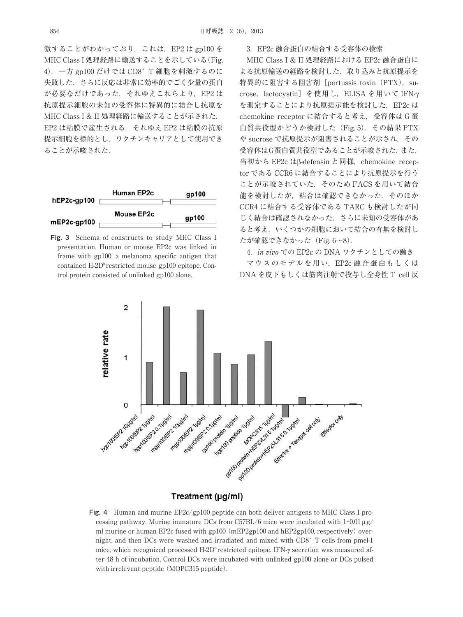激することがわかっており,これは,EP2 は gp100 を MHC Class I 処理経路に輸送することを示している(Fig. 4).一方 gp100 だけでは CD8+ T 細胞を刺激するのに 失敗した.さらに反応は非常に効率的でごく少量の蛋白 が必要なだけであった. それゆえこれらより, EP2 は 抗原提示細胞の未知の受容体に特異的に結合し抗原を MHC Class I & II 処理経路に輸送することが示された. EP2 は粘膜で産生される.それゆえ EP2 は粘膜の抗原 提示細胞を標的とし,ワクチンキャリアとして使用でき ることが示唆された.



**Fig. 3** Schema of constructs to study MHC Class I presentation. Human or mouse EP2c was linked in frame with gp100, a melanoma specific antigen that contained  $H\text{-}2D^b$  restricted mouse gp100 epitope. Control protein consisted of unlinked gp100 alone.

# 3.EP2c 融合蛋白の結合する受容体の検索

MHC Class I & II 処理経路における EP2c 融合蛋白に よる抗原輸送の経路を検討した.取り込みと抗原提示を 特異的に阻害する阻害剤 [pertussis toxin (PTX), sucrose,lactocystin]を使用し,ELISA を用いて IFN-γ を測定することにより抗原提示能を検討した. EP2c は chemokine receptor に結合すると考え,受容体は G 蛋 白質共役型かどうか検討した (Fig. 5). その結果 PTX や sucrose で抗原提示が阻害されることが示され,その 受容体はG蛋白質共役型であることが示唆された.また, 当初から EP2c はβ-defensin と同様, chemokine receptor である CCR6 に結合することにより抗原提示を行う ことが示唆されていた. そのため FACS を用いて結合 能を検討したが,結合は確認できなかった.そのほか CCR4 に結合する受容体である TARC も検討したが同 じく結合は確認されなかった.さらに未知の受容体があ ると考え,いくつかの細胞において結合の有無を検討し たが確認できなかった(Fig. 6~8).

4.in vivo での EP2c の DNA ワクチンとしての働き

マウスのモデルを用い,EP2c 融合蛋白もしくは DNA を皮下もしくは筋肉注射で投与し全身性 T cell 反



Treatment (µg/ml)

**Fig. 4** Human and murine EP2c/gp100 peptide can both deliver antigens to MHC Class I processing pathway. Murine immature DCs from C57BL/6 mice were incubated with  $1-0.01 \mu$ g/ ml murine or human EP2c fused with  $gp100$  (mEP2 $gp100$  and hEP2 $gp100$ , respectively) overnight, and then DCs were washed and irradiated and mixed with CD8+ T cells from pmel-1 mice, which recognized processed H-2D<sup>b-</sup>restricted epitope. IFN-γ secretion was measured after 48 h of incubation. Control DCs were incubated with unlinked gp100 alone or DCs pulsed with irrelevant peptide (MOPC315 peptide).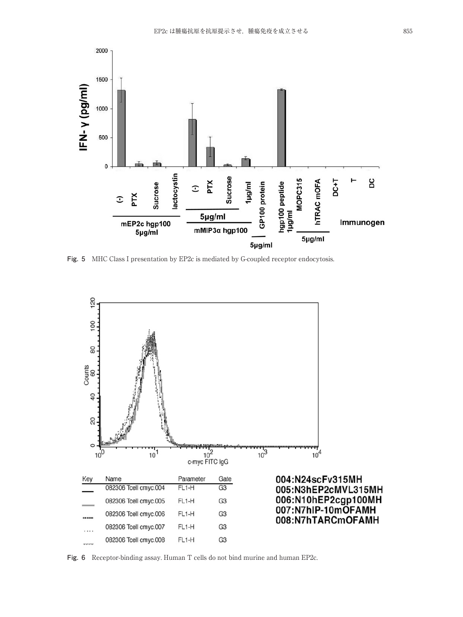

**Fig. 5** MHC Class I presentation by EP2c is mediated by G-coupled receptor endocytosis.



**Fig. 6** Receptor-binding assay. Human T cells do not bind murine and human EP2c.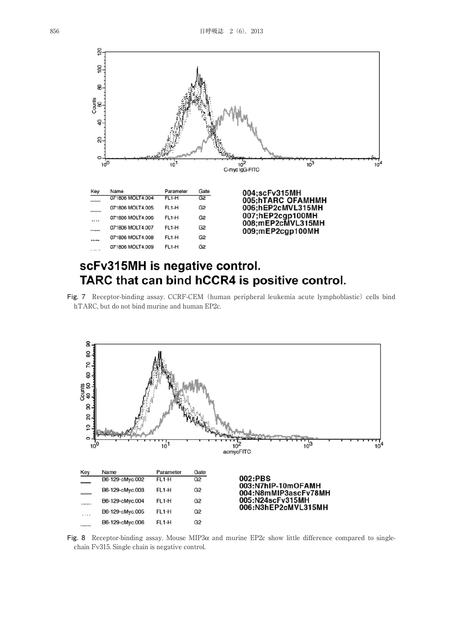

# scFv315MH is negative control. TARC that can bind hCCR4 is positive control.

Fig. 7 Receptor-binding assay. CCRF-CEM (human peripheral leukemia acute lymphoblastic) cells bind hTARC, but do not bind murine and human EP2c.

![](_page_4_Figure_4.jpeg)

**Fig. 8** Receptor-binding assay. Mouse MIP3α and murine EP2c show little difference compared to singlechain Fv315. Single chain is negative control.